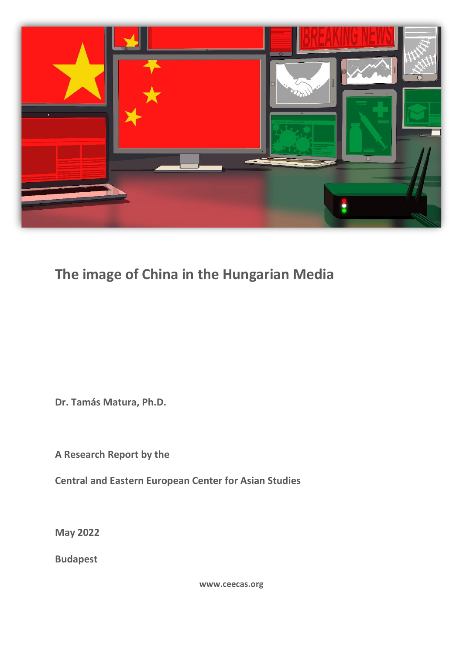

# **The image of China in the Hungarian Media**

**Dr. Tamás Matura, Ph.D.**

**A Research Report by the**

**Central and Eastern European Center for Asian Studies**

**May 2022**

**Budapest**

**www.ceecas.org**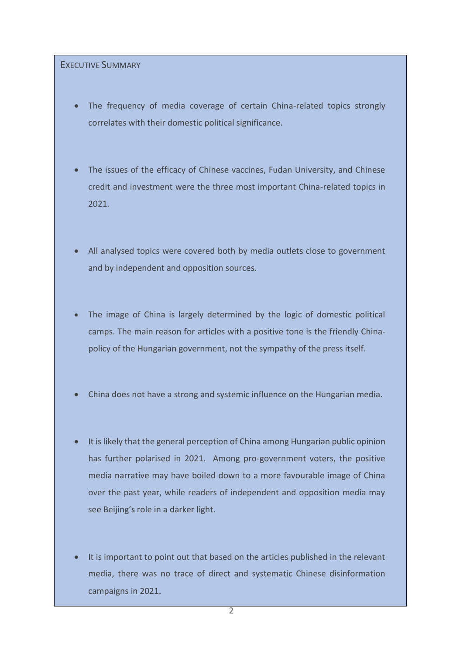## EXECUTIVE SUMMARY

- The frequency of media coverage of certain China-related topics strongly correlates with their domestic political significance.
- The issues of the efficacy of Chinese vaccines, Fudan University, and Chinese credit and investment were the three most important China-related topics in 2021.
- All analysed topics were covered both by media outlets close to government and by independent and opposition sources.
- The image of China is largely determined by the logic of domestic political camps. The main reason for articles with a positive tone is the friendly Chinapolicy of the Hungarian government, not the sympathy of the press itself.
- China does not have a strong and systemic influence on the Hungarian media.
- It is likely that the general perception of China among Hungarian public opinion has further polarised in 2021. Among pro-government voters, the positive media narrative may have boiled down to a more favourable image of China over the past year, while readers of independent and opposition media may see Beijing's role in a darker light.
- It is important to point out that based on the articles published in the relevant media, there was no trace of direct and systematic Chinese disinformation campaigns in 2021.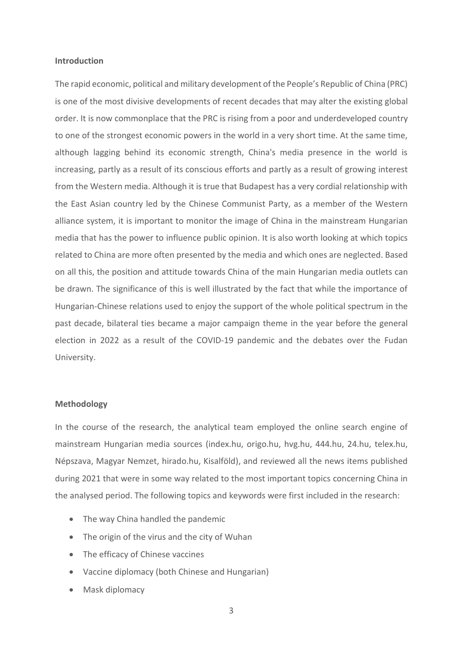#### **Introduction**

The rapid economic, political and military development of the People's Republic of China (PRC) is one of the most divisive developments of recent decades that may alter the existing global order. It is now commonplace that the PRC is rising from a poor and underdeveloped country to one of the strongest economic powers in the world in a very short time. At the same time, although lagging behind its economic strength, China's media presence in the world is increasing, partly as a result of its conscious efforts and partly as a result of growing interest from the Western media. Although it is true that Budapest has a very cordial relationship with the East Asian country led by the Chinese Communist Party, as a member of the Western alliance system, it is important to monitor the image of China in the mainstream Hungarian media that has the power to influence public opinion. It is also worth looking at which topics related to China are more often presented by the media and which ones are neglected. Based on all this, the position and attitude towards China of the main Hungarian media outlets can be drawn. The significance of this is well illustrated by the fact that while the importance of Hungarian-Chinese relations used to enjoy the support of the whole political spectrum in the past decade, bilateral ties became a major campaign theme in the year before the general election in 2022 as a result of the COVID-19 pandemic and the debates over the Fudan University.

#### **Methodology**

In the course of the research, the analytical team employed the online search engine of mainstream Hungarian media sources (index.hu, origo.hu, hvg.hu, 444.hu, 24.hu, telex.hu, Népszava, Magyar Nemzet, hirado.hu, Kisalföld), and reviewed all the news items published during 2021 that were in some way related to the most important topics concerning China in the analysed period. The following topics and keywords were first included in the research:

- The way China handled the pandemic
- The origin of the virus and the city of Wuhan
- The efficacy of Chinese vaccines
- Vaccine diplomacy (both Chinese and Hungarian)
- Mask diplomacy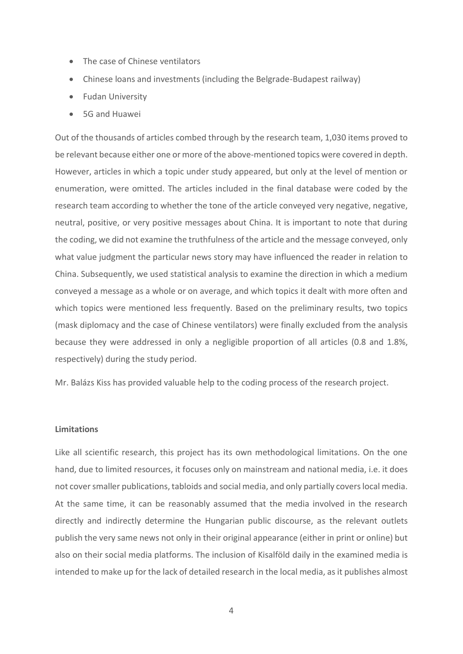- The case of Chinese ventilators
- Chinese loans and investments (including the Belgrade-Budapest railway)
- Fudan University
- 5G and Huawei

Out of the thousands of articles combed through by the research team, 1,030 items proved to be relevant because either one or more of the above-mentioned topics were covered in depth. However, articles in which a topic under study appeared, but only at the level of mention or enumeration, were omitted. The articles included in the final database were coded by the research team according to whether the tone of the article conveyed very negative, negative, neutral, positive, or very positive messages about China. It is important to note that during the coding, we did not examine the truthfulness of the article and the message conveyed, only what value judgment the particular news story may have influenced the reader in relation to China. Subsequently, we used statistical analysis to examine the direction in which a medium conveyed a message as a whole or on average, and which topics it dealt with more often and which topics were mentioned less frequently. Based on the preliminary results, two topics (mask diplomacy and the case of Chinese ventilators) were finally excluded from the analysis because they were addressed in only a negligible proportion of all articles (0.8 and 1.8%, respectively) during the study period.

Mr. Balázs Kiss has provided valuable help to the coding process of the research project.

## **Limitations**

Like all scientific research, this project has its own methodological limitations. On the one hand, due to limited resources, it focuses only on mainstream and national media, i.e. it does not cover smaller publications, tabloids and social media, and only partially covers local media. At the same time, it can be reasonably assumed that the media involved in the research directly and indirectly determine the Hungarian public discourse, as the relevant outlets publish the very same news not only in their original appearance (either in print or online) but also on their social media platforms. The inclusion of Kisalföld daily in the examined media is intended to make up for the lack of detailed research in the local media, as it publishes almost

4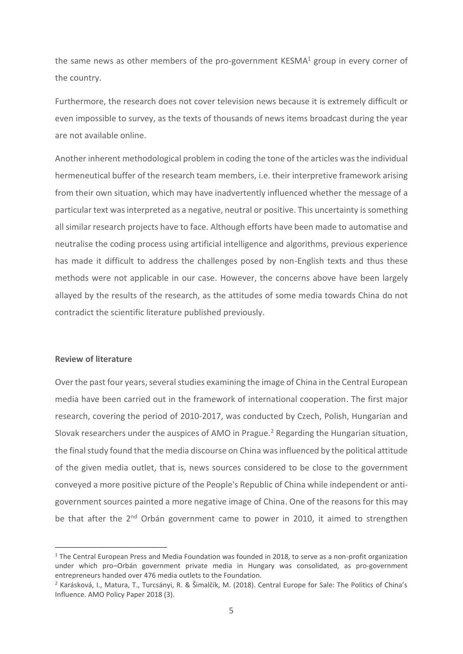the same news as other members of the pro-government KESMA $1$  group in every corner of the country.

Furthermore, the research does not cover television news because it is extremely difficult or even impossible to survey, as the texts of thousands of news items broadcast during the year are not available online.

Another inherent methodological problem in coding the tone of the articles was the individual hermeneutical buffer of the research team members, i.e. their interpretive framework arising from their own situation, which may have inadvertently influenced whether the message of a particular text was interpreted as a negative, neutral or positive. This uncertainty is something all similar research projects have to face. Although efforts have been made to automatise and neutralise the coding process using artificial intelligence and algorithms, previous experience has made it difficult to address the challenges posed by non-English texts and thus these methods were not applicable in our case. However, the concerns above have been largely allayed by the results of the research, as the attitudes of some media towards China do not contradict the scientific literature published previously.

### **Review of literature**

Over the past four years, several studies examining the image of China in the Central European media have been carried out in the framework of international cooperation. The first major research, covering the period of 2010-2017, was conducted by Czech, Polish, Hungarian and Slovak researchers under the auspices of AMO in Prague.<sup>2</sup> Regarding the Hungarian situation, the final study found that the media discourse on China was influenced by the political attitude of the given media outlet, that is, news sources considered to be close to the government conveyed a more positive picture of the People's Republic of China while independent or antigovernment sources painted a more negative image of China. One of the reasons for this may be that after the 2<sup>nd</sup> Orbán government came to power in 2010, it aimed to strengthen

 $1$  The Central European Press and Media Foundation was founded in 2018, to serve as a non-profit organization under which pro–Orbán government private media in Hungary was consolidated, as pro-government entrepreneurs handed over 476 media outlets to the Foundation.

<sup>2</sup> Karásková, I., Matura, T., Turcsányi, R. & Šimalčík, M. (2018). Central Europe for Sale: The Politics of China's Influence. AMO Policy Paper 2018 (3).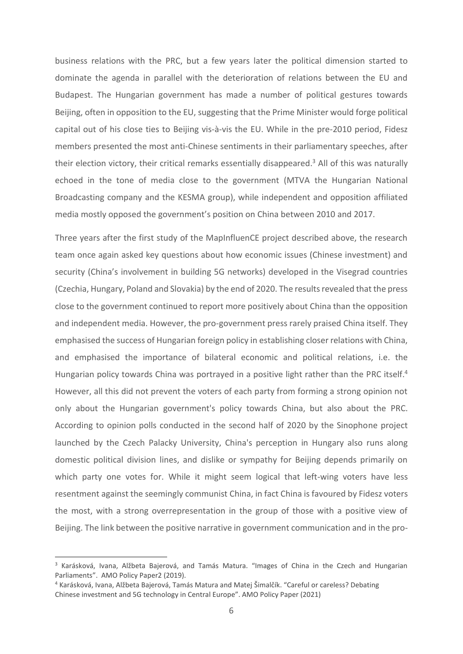business relations with the PRC, but a few years later the political dimension started to dominate the agenda in parallel with the deterioration of relations between the EU and Budapest. The Hungarian government has made a number of political gestures towards Beijing, often in opposition to the EU, suggesting that the Prime Minister would forge political capital out of his close ties to Beijing vis-à-vis the EU. While in the pre-2010 period, Fidesz members presented the most anti-Chinese sentiments in their parliamentary speeches, after their election victory, their critical remarks essentially disappeared. <sup>3</sup> All of this was naturally echoed in the tone of media close to the government (MTVA the Hungarian National Broadcasting company and the KESMA group), while independent and opposition affiliated media mostly opposed the government's position on China between 2010 and 2017.

Three years after the first study of the MapInfluenCE project described above, the research team once again asked key questions about how economic issues (Chinese investment) and security (China's involvement in building 5G networks) developed in the Visegrad countries (Czechia, Hungary, Poland and Slovakia) by the end of 2020. The results revealed that the press close to the government continued to report more positively about China than the opposition and independent media. However, the pro-government press rarely praised China itself. They emphasised the success of Hungarian foreign policy in establishing closer relations with China, and emphasised the importance of bilateral economic and political relations, i.e. the Hungarian policy towards China was portrayed in a positive light rather than the PRC itself.<sup>4</sup> However, all this did not prevent the voters of each party from forming a strong opinion not only about the Hungarian government's policy towards China, but also about the PRC. According to opinion polls conducted in the second half of 2020 by the Sinophone project launched by the Czech Palacky University, China's perception in Hungary also runs along domestic political division lines, and dislike or sympathy for Beijing depends primarily on which party one votes for. While it might seem logical that left-wing voters have less resentment against the seemingly communist China, in fact China is favoured by Fidesz voters the most, with a strong overrepresentation in the group of those with a positive view of Beijing. The link between the positive narrative in government communication and in the pro-

<sup>&</sup>lt;sup>3</sup> Karásková, Ivana, Alžbeta Bajerová, and Tamás Matura. "Images of China in the Czech and Hungarian Parliaments". AMO Policy Paper2 (2019).

<sup>4</sup> Karásková, Ivana, Alžbeta Bajerová, Tamás Matura and Matej Šimalčík. "Careful or careless? Debating Chinese investment and 5G technology in Central Europe". AMO Policy Paper (2021)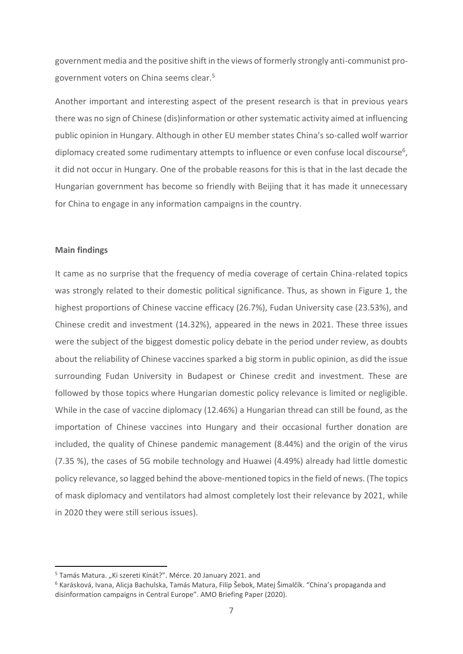government media and the positive shift in the views of formerly strongly anti-communist progovernment voters on China seems clear.<sup>5</sup>

Another important and interesting aspect of the present research is that in previous years there was no sign of Chinese (dis)information or other systematic activity aimed at influencing public opinion in Hungary. Although in other EU member states China's so-called wolf warrior diplomacy created some rudimentary attempts to influence or even confuse local discourse<sup>6</sup>, it did not occur in Hungary. One of the probable reasons for this is that in the last decade the Hungarian government has become so friendly with Beijing that it has made it unnecessary for China to engage in any information campaigns in the country.

## **Main findings**

It came as no surprise that the frequency of media coverage of certain China-related topics was strongly related to their domestic political significance. Thus, as shown in Figure 1, the highest proportions of Chinese vaccine efficacy (26.7%), Fudan University case (23.53%), and Chinese credit and investment (14.32%), appeared in the news in 2021. These three issues were the subject of the biggest domestic policy debate in the period under review, as doubts about the reliability of Chinese vaccines sparked a big storm in public opinion, as did the issue surrounding Fudan University in Budapest or Chinese credit and investment. These are followed by those topics where Hungarian domestic policy relevance is limited or negligible. While in the case of vaccine diplomacy (12.46%) a Hungarian thread can still be found, as the importation of Chinese vaccines into Hungary and their occasional further donation are included, the quality of Chinese pandemic management (8.44%) and the origin of the virus (7.35 %), the cases of 5G mobile technology and Huawei (4.49%) already had little domestic policy relevance, so lagged behind the above-mentioned topics in the field of news. (The topics of mask diplomacy and ventilators had almost completely lost their relevance by 2021, while in 2020 they were still serious issues).

<sup>&</sup>lt;sup>5</sup> Tamás Matura. "Ki szereti Kínát?". Mérce. 20 January 2021. and

<sup>&</sup>lt;sup>6</sup> Karásková, Ivana, Alicja Bachulska, Tamás Matura, Filip Šebok, Matej Šimalčík. "China's propaganda and disinformation campaigns in Central Europe". AMO Briefing Paper (2020).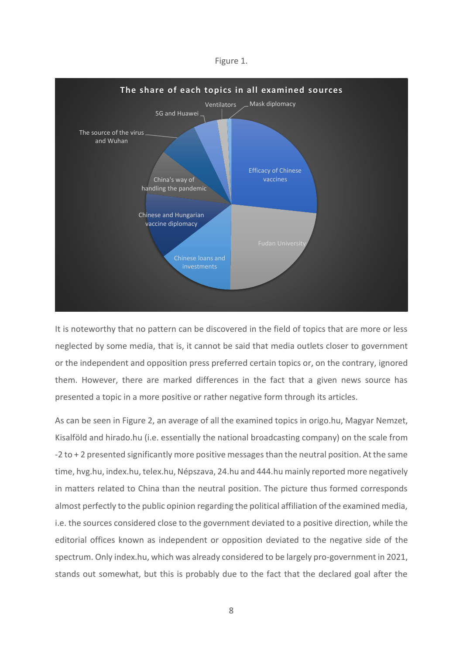



It is noteworthy that no pattern can be discovered in the field of topics that are more or less neglected by some media, that is, it cannot be said that media outlets closer to government or the independent and opposition press preferred certain topics or, on the contrary, ignored them. However, there are marked differences in the fact that a given news source has presented a topic in a more positive or rather negative form through its articles.

As can be seen in Figure 2, an average of all the examined topics in origo.hu, Magyar Nemzet, Kisalföld and hirado.hu (i.e. essentially the national broadcasting company) on the scale from -2 to + 2 presented significantly more positive messages than the neutral position. At the same time, hvg.hu, index.hu, telex.hu, Népszava, 24.hu and 444.hu mainly reported more negatively in matters related to China than the neutral position. The picture thus formed corresponds almost perfectly to the public opinion regarding the political affiliation of the examined media, i.e. the sources considered close to the government deviated to a positive direction, while the editorial offices known as independent or opposition deviated to the negative side of the spectrum. Only index.hu, which was already considered to be largely pro-government in 2021, stands out somewhat, but this is probably due to the fact that the declared goal after the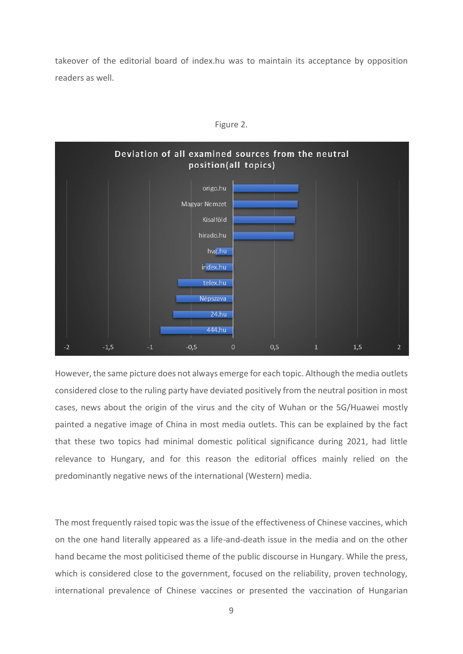takeover of the editorial board of index.hu was to maintain its acceptance by opposition readers as well.



Figure 2.

However, the same picture does not always emerge for each topic. Although the media outlets considered close to the ruling party have deviated positively from the neutral position in most cases, news about the origin of the virus and the city of Wuhan or the 5G/Huawei mostly painted a negative image of China in most media outlets. This can be explained by the fact that these two topics had minimal domestic political significance during 2021, had little relevance to Hungary, and for this reason the editorial offices mainly relied on the predominantly negative news of the international (Western) media.

The most frequently raised topic was the issue of the effectiveness of Chinese vaccines, which on the one hand literally appeared as a life-and-death issue in the media and on the other hand became the most politicised theme of the public discourse in Hungary. While the press, which is considered close to the government, focused on the reliability, proven technology, international prevalence of Chinese vaccines or presented the vaccination of Hungarian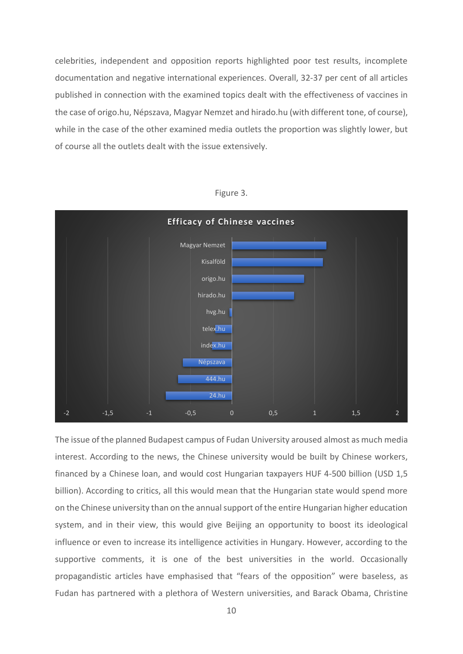celebrities, independent and opposition reports highlighted poor test results, incomplete documentation and negative international experiences. Overall, 32-37 per cent of all articles published in connection with the examined topics dealt with the effectiveness of vaccines in the case of origo.hu, Népszava, Magyar Nemzet and hirado.hu (with different tone, of course), while in the case of the other examined media outlets the proportion was slightly lower, but of course all the outlets dealt with the issue extensively.



Figure 3.

The issue of the planned Budapest campus of Fudan University aroused almost as much media interest. According to the news, the Chinese university would be built by Chinese workers, financed by a Chinese loan, and would cost Hungarian taxpayers HUF 4-500 billion (USD 1,5 billion). According to critics, all this would mean that the Hungarian state would spend more on the Chinese university than on the annual support of the entire Hungarian higher education system, and in their view, this would give Beijing an opportunity to boost its ideological influence or even to increase its intelligence activities in Hungary. However, according to the supportive comments, it is one of the best universities in the world. Occasionally propagandistic articles have emphasised that "fears of the opposition" were baseless, as Fudan has partnered with a plethora of Western universities, and Barack Obama, Christine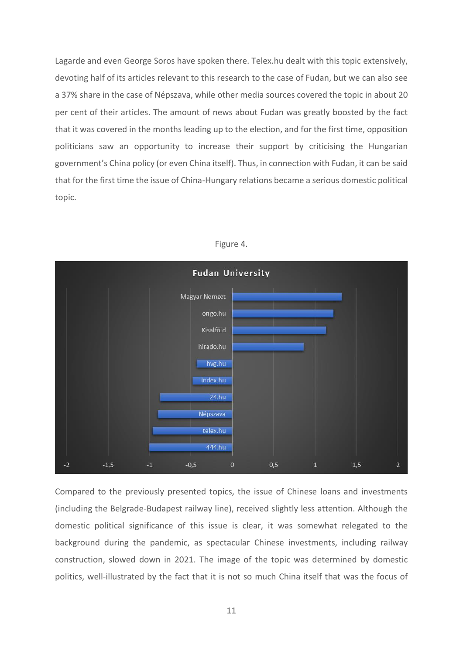Lagarde and even George Soros have spoken there. Telex.hu dealt with this topic extensively, devoting half of its articles relevant to this research to the case of Fudan, but we can also see a 37% share in the case of Népszava, while other media sources covered the topic in about 20 per cent of their articles. The amount of news about Fudan was greatly boosted by the fact that it was covered in the months leading up to the election, and for the first time, opposition politicians saw an opportunity to increase their support by criticising the Hungarian government's China policy (or even China itself). Thus, in connection with Fudan, it can be said that for the first time the issue of China-Hungary relations became a serious domestic political topic.



Figure 4.

Compared to the previously presented topics, the issue of Chinese loans and investments (including the Belgrade-Budapest railway line), received slightly less attention. Although the domestic political significance of this issue is clear, it was somewhat relegated to the background during the pandemic, as spectacular Chinese investments, including railway construction, slowed down in 2021. The image of the topic was determined by domestic politics, well-illustrated by the fact that it is not so much China itself that was the focus of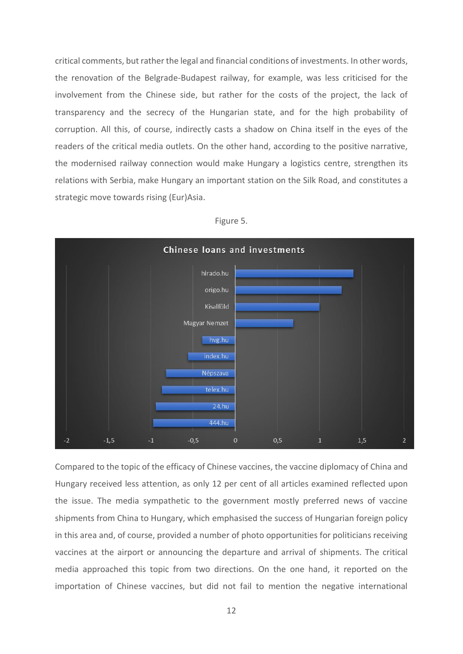critical comments, but rather the legal and financial conditions of investments. In other words, the renovation of the Belgrade-Budapest railway, for example, was less criticised for the involvement from the Chinese side, but rather for the costs of the project, the lack of transparency and the secrecy of the Hungarian state, and for the high probability of corruption. All this, of course, indirectly casts a shadow on China itself in the eyes of the readers of the critical media outlets. On the other hand, according to the positive narrative, the modernised railway connection would make Hungary a logistics centre, strengthen its relations with Serbia, make Hungary an important station on the Silk Road, and constitutes a strategic move towards rising (Eur)Asia.





Compared to the topic of the efficacy of Chinese vaccines, the vaccine diplomacy of China and Hungary received less attention, as only 12 per cent of all articles examined reflected upon the issue. The media sympathetic to the government mostly preferred news of vaccine shipments from China to Hungary, which emphasised the success of Hungarian foreign policy in this area and, of course, provided a number of photo opportunities for politicians receiving vaccines at the airport or announcing the departure and arrival of shipments. The critical media approached this topic from two directions. On the one hand, it reported on the importation of Chinese vaccines, but did not fail to mention the negative international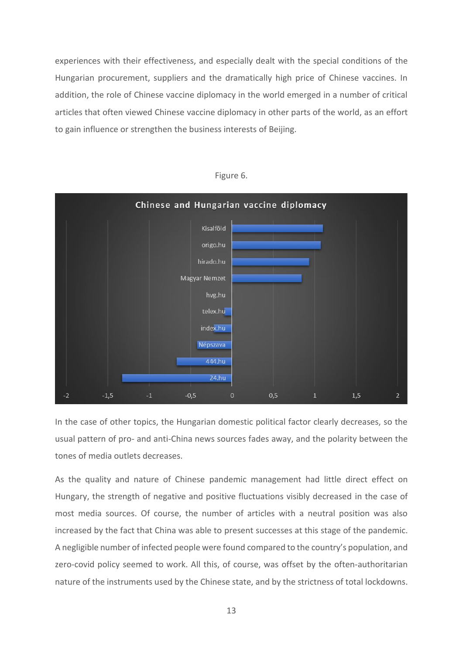experiences with their effectiveness, and especially dealt with the special conditions of the Hungarian procurement, suppliers and the dramatically high price of Chinese vaccines. In addition, the role of Chinese vaccine diplomacy in the world emerged in a number of critical articles that often viewed Chinese vaccine diplomacy in other parts of the world, as an effort to gain influence or strengthen the business interests of Beijing.



Figure 6.

In the case of other topics, the Hungarian domestic political factor clearly decreases, so the usual pattern of pro- and anti-China news sources fades away, and the polarity between the tones of media outlets decreases.

As the quality and nature of Chinese pandemic management had little direct effect on Hungary, the strength of negative and positive fluctuations visibly decreased in the case of most media sources. Of course, the number of articles with a neutral position was also increased by the fact that China was able to present successes at this stage of the pandemic. A negligible number of infected people were found compared to the country's population, and zero-covid policy seemed to work. All this, of course, was offset by the often-authoritarian nature of the instruments used by the Chinese state, and by the strictness of total lockdowns.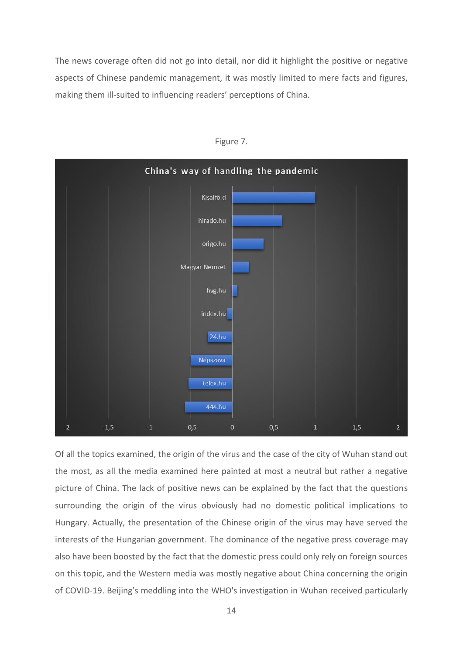The news coverage often did not go into detail, nor did it highlight the positive or negative aspects of Chinese pandemic management, it was mostly limited to mere facts and figures, making them ill-suited to influencing readers' perceptions of China.



Figure 7.

Of all the topics examined, the origin of the virus and the case of the city of Wuhan stand out the most, as all the media examined here painted at most a neutral but rather a negative picture of China. The lack of positive news can be explained by the fact that the questions surrounding the origin of the virus obviously had no domestic political implications to Hungary. Actually, the presentation of the Chinese origin of the virus may have served the interests of the Hungarian government. The dominance of the negative press coverage may also have been boosted by the fact that the domestic press could only rely on foreign sources on this topic, and the Western media was mostly negative about China concerning the origin of COVID-19. Beijing's meddling into the WHO's investigation in Wuhan received particularly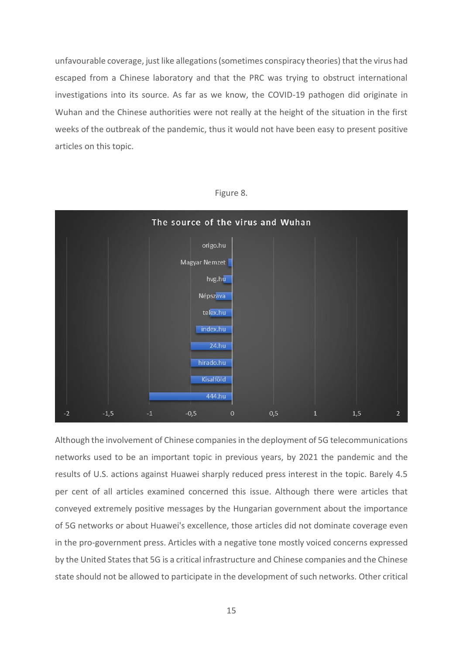unfavourable coverage, just like allegations (sometimes conspiracy theories) that the virus had escaped from a Chinese laboratory and that the PRC was trying to obstruct international investigations into its source. As far as we know, the COVID-19 pathogen did originate in Wuhan and the Chinese authorities were not really at the height of the situation in the first weeks of the outbreak of the pandemic, thus it would not have been easy to present positive articles on this topic.



Figure 8.

Although the involvement of Chinese companies in the deployment of 5G telecommunications networks used to be an important topic in previous years, by 2021 the pandemic and the results of U.S. actions against Huawei sharply reduced press interest in the topic. Barely 4.5 per cent of all articles examined concerned this issue. Although there were articles that conveyed extremely positive messages by the Hungarian government about the importance of 5G networks or about Huawei's excellence, those articles did not dominate coverage even in the pro-government press. Articles with a negative tone mostly voiced concerns expressed by the United States that 5G is a critical infrastructure and Chinese companies and the Chinese state should not be allowed to participate in the development of such networks. Other critical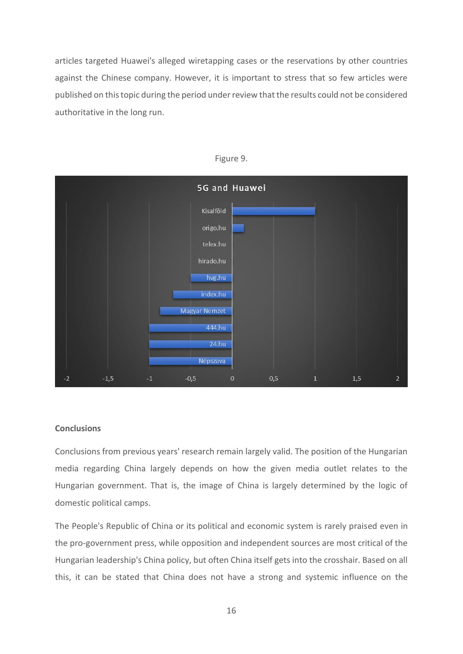articles targeted Huawei's alleged wiretapping cases or the reservations by other countries against the Chinese company. However, it is important to stress that so few articles were published on this topic during the period under review that the results could not be considered authoritative in the long run.



#### Figure 9.

#### **Conclusions**

Conclusions from previous years' research remain largely valid. The position of the Hungarian media regarding China largely depends on how the given media outlet relates to the Hungarian government. That is, the image of China is largely determined by the logic of domestic political camps.

The People's Republic of China or its political and economic system is rarely praised even in the pro-government press, while opposition and independent sources are most critical of the Hungarian leadership's China policy, but often China itself gets into the crosshair. Based on all this, it can be stated that China does not have a strong and systemic influence on the